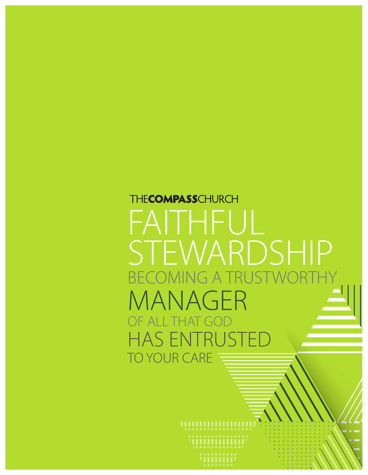# **THECOMPASSCHURCH** FAITHFUL STEWARDSHIP BECOMING A TRU MANAGER<br>OF ALLTHAT GOD OF ALL THAT GOD AS ENTRU TO YOUR CARE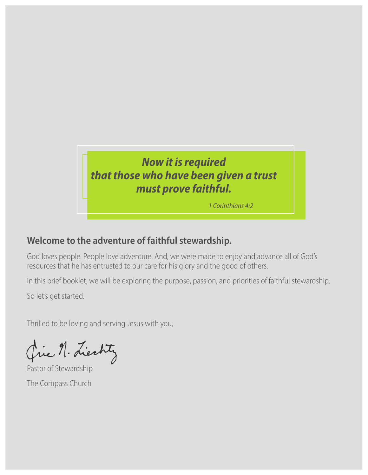## *Now it is required that those who have been given a trust must prove faithful.*

*1 Corinthians 4:2*

## **Welcome to the adventure of faithful stewardship.**

God loves people. People love adventure. And, we were made to enjoy and advance all of God's resources that he has entrusted to our care for his glory and the good of others.

In this brief booklet, we will be exploring the purpose, passion, and priorities of faithful stewardship.

So let's get started.

Thrilled to be loving and serving Jesus with you,

Que n. Liechty

Pastor of Stewardship The Compass Church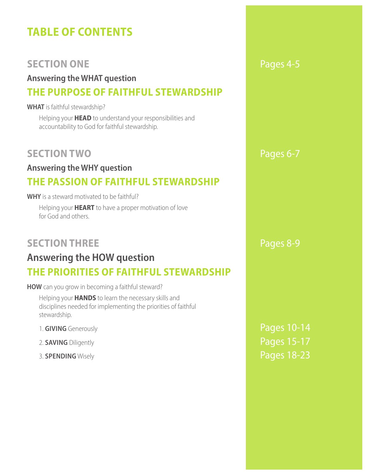## **TABLE OF CONTENTS**

## **SECTION ONE** Pages 4-5

### **Answering the WHAT question THE PURPOSE OF FAITHFUL STEWARDSHIP**

#### **WHAT** is faithful stewardship?

Helping your **HEAD** to understand your responsibilities and accountability to God for faithful stewardship.

## **SECTION TWO** Pages 6-7

## **Answering the WHY question THE PASSION OF FAITHFUL STEWARDSHIP**

#### **WHY** is a steward motivated to be faithful?

Helping your **HEART** to have a proper motivation of love for God and others.

## **SECTION THREE** Pages 8-9

## **Answering the HOW question THE PRIORITIES OF FAITHFUL STEWARDSHIP**

**HOW** can you grow in becoming a faithful steward?

Helping your **HANDS** to learn the necessary skills and disciplines needed for implementing the priorities of faithful stewardship.

- 1. **GIVING** Generously **Pages 10-14**
- 
- 

2. **SAVING** Diligently **Pages 15-17 3. SPENDING** Wisely **Pages 18-23**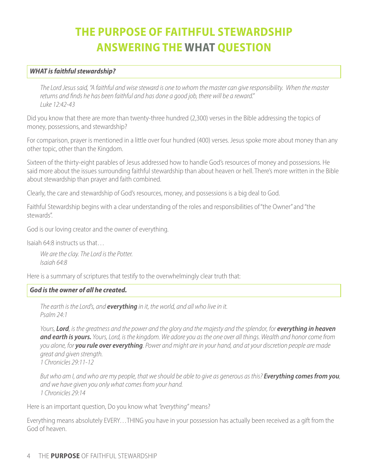## **THE PURPOSE OF FAITHFUL STEWARDSHIP ANSWERING THE WHAT QUESTION**

#### *WHAT is faithful stewardship?*

*The Lord Jesus said, "A faithful and wise steward is one to whom the master can give responsibility. When the master returns and finds he has been faithful and has done a good job, there will be a reward." Luke 12:42-43*

Did you know that there are more than twenty-three hundred (2,300) verses in the Bible addressing the topics of money, possessions, and stewardship?

For comparison, prayer is mentioned in a little over four hundred (400) verses. Jesus spoke more about money than any other topic, other than the Kingdom.

Sixteen of the thirty-eight parables of Jesus addressed how to handle God's resources of money and possessions. He said more about the issues surrounding faithful stewardship than about heaven or hell. There's more written in the Bible about stewardship than prayer and faith combined.

Clearly, the care and stewardship of God's resources, money, and possessions is a big deal to God.

Faithful Stewardship begins with a clear understanding of the roles and responsibilities of "the Owner" and "the stewards".

God is our loving creator and the owner of everything.

Isaiah 64:8 instructs us that…

*We are the clay. The Lord is the Potter. Isaiah 64:8*

Here is a summary of scriptures that testify to the overwhelmingly clear truth that:

#### *God is the owner of all he created.*

*The earth is the Lord's, and everything in it, the world, and all who live in it. Psalm 24:1*

*Yours, Lord, is the greatness and the power and the glory and the majesty and the splendor, for everything in heaven and earth is yours. Yours, Lord, is the kingdom. We adore you as the one over all things. Wealth and honor come from you alone, for you rule over everything. Power and might are in your hand, and at your discretion people are made great and given strength. 1 Chronicles 29:11-12*

*But who am I, and who are my people, that we should be able to give as generous as this? Everything comes from you, and we have given you only what comes from your hand. 1 Chronicles 29:14*

Here is an important question, Do you know what *"everything"* means?

Everything means absolutely EVERY…THING you have in your possession has actually been received as a gift from the God of heaven.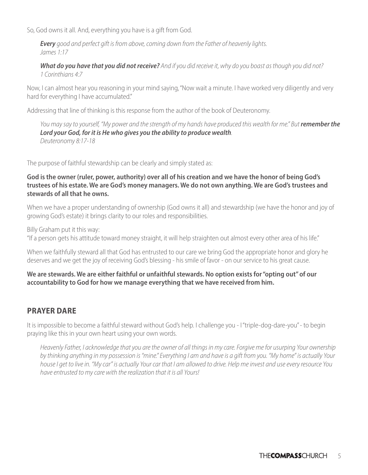So, God owns it all. And, everything you have is a gift from God.

*Every good and perfect gift is from above, coming down from the Father of heavenly lights. James 1:17*

*What do you have that you did not receive? And if you did receive it, why do you boast as though you did not? 1 Corinthians 4:7*

Now, I can almost hear you reasoning in your mind saying, "Now wait a minute. I have worked very diligently and very hard for everything I have accumulated."

Addressing that line of thinking is this response from the author of the book of Deuteronomy.

*You may say to yourself, "My power and the strength of my hands have produced this wealth for me." But remember the Lord your God, for it is He who gives you the ability to produce wealth. Deuteronomy 8:17-18*

The purpose of faithful stewardship can be clearly and simply stated as:

**God is the owner (ruler, power, authority) over all of his creation and we have the honor of being God's trustees of his estate. We are God's money managers. We do not own anything. We are God's trustees and stewards of all that he owns.**

When we have a proper understanding of ownership (God owns it all) and stewardship (we have the honor and joy of growing God's estate) it brings clarity to our roles and responsibilities.

Billy Graham put it this way:

"If a person gets his attitude toward money straight, it will help straighten out almost every other area of his life."

When we faithfully steward all that God has entrusted to our care we bring God the appropriate honor and glory he deserves and we get the joy of receiving God's blessing - his smile of favor - on our service to his great cause.

**We are stewards. We are either faithful or unfaithful stewards. No option exists for "opting out" of our accountability to God for how we manage everything that we have received from him.**

#### **PRAYER DARE**

It is impossible to become a faithful steward without God's help. I challenge you - I "triple-dog-dare-you" - to begin praying like this in your own heart using your own words.

*Heavenly Father, I acknowledge that you are the owner of all things in my care. Forgive me for usurping Your ownership by thinking anything in my possession is "mine." Everything I am and have is a gift from you. "My home" is actually Your house I get to live in. "My car" is actually Your car that I am allowed to drive. Help me invest and use every resource You have entrusted to my care with the realization that it is all Yours!*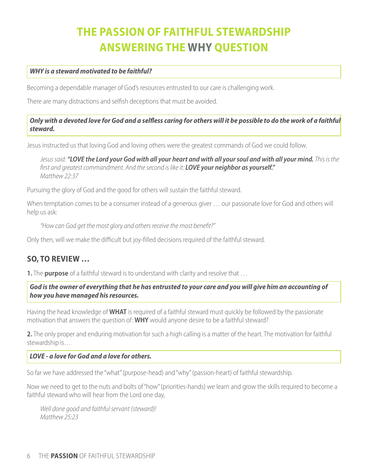## **THE PASSION OF FAITHFUL STEWARDSHIP ANSWERING THE WHY QUESTION**

#### *WHY is a steward motivated to be faithful?*

Becoming a dependable manager of God's resources entrusted to our care is challenging work.

There are many distractions and selfish deceptions that must be avoided.

#### *Only with a devoted love for God and a selfless caring for others will it be possible to do the work of a faithful steward.*

Jesus instructed us that loving God and loving others were the greatest commands of God we could follow.

*Jesus said: "LOVE the Lord your God with all your heart and with all your soul and with all your mind. This is the first and greatest commandment. And the second is like it: LOVE your neighbor as yourself." Matthew 22:37*

Pursuing the glory of God and the good for others will sustain the faithful steward.

When temptation comes to be a consumer instead of a generous giver ... our passionate love for God and others will help us ask:

*"How can God get the most glory and others receive the most benefit?"*

Only then, will we make the difficult but joy-filled decisions required of the faithful steward.

#### **SO, TO REVIEW …**

**1.** The **purpose** of a faithful steward is to understand with clarity and resolve that …

*God is the owner of everything that he has entrusted to your care and you will give him an accounting of how you have managed his resources.*

Having the head knowledge of **WHAT** is required of a faithful steward must quickly be followed by the passionate motivation that answers the question of: **WHY** would anyone desire to be a faithful steward?

**2.** The only proper and enduring motivation for such a high calling is a matter of the heart. The motivation for faithful stewardship is…

#### *LOVE - a love for God and a love for others.*

So far we have addressed the "what" (purpose-head) and "why" (passion-heart) of faithful stewardship.

Now we need to get to the nuts and bolts of "how" (priorities-hands) we learn and grow the skills required to become a faithful steward who will hear from the Lord one day,

*Well done good and faithful servant (steward)! Matthew 25:23*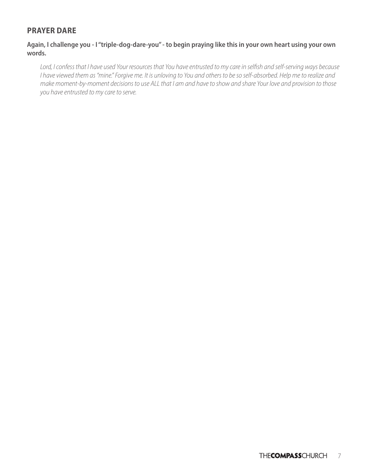#### **PRAYER DARE**

#### **Again, I challenge you - I "triple-dog-dare-you" - to begin praying like this in your own heart using your own words.**

*Lord, I confess that I have used Your resources that You have entrusted to my care in selfish and self-serving ways because I have viewed them as "mine." Forgive me. It is unloving to You and others to be so self-absorbed. Help me to realize and make moment-by-moment decisions to use ALL that I am and have to show and share Your love and provision to those you have entrusted to my care to serve.*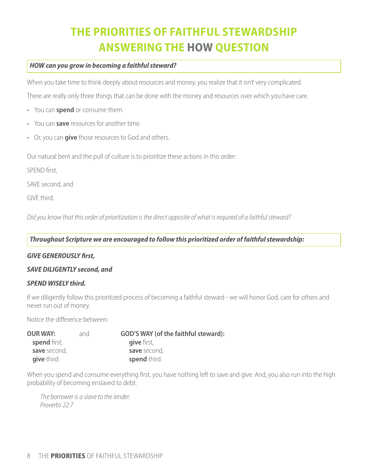## **THE PRIORITIES OF FAITHFUL STEWARDSHIP ANSWERING THE HOW QUESTION**

#### *HOW can you grow in becoming a faithful steward?*

When you take time to think deeply about resources and money, you realize that it isn't very complicated.

There are really only three things that can be done with the money and resources over which you have care.

- You can **spend** or consume them.
- You can **save** resources for another time.
- Or, you can **give** those resources to God and others.

Our natural bent and the pull of culture is to prioritize these actions in this order:

SPEND first,

SAVE second, and

GIVE third.

*Did you know that this order of prioritization is the direct opposite of what is required of a faithful steward?*

*Throughout Scripture we are encouraged to follow this prioritized order of faithful stewardship:* 

#### *GIVE GENEROUSLY first,*

#### *SAVE DILIGENTLY second, and*

#### *SPEND WISELY third.*

If we diligently follow this prioritized process of becoming a faithful steward - we will honor God, care for others and never run out of money.

Notice the difference between:

| <b>OUR WAY:</b>     | and | <b>GOD'S WAY (of the faithful steward):</b> |  |  |
|---------------------|-----|---------------------------------------------|--|--|
| <b>spend</b> first, |     | give first,                                 |  |  |
| save second,        |     | save second,                                |  |  |
| give third.         |     | spend third.                                |  |  |

When you spend and consume everything first, you have nothing left to save and give. And, you also run into the high probability of becoming enslaved to debt.

*The borrower is a slave to the lender. Proverbs 22:7*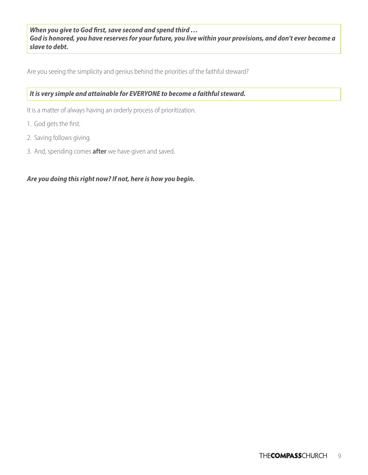*When you give to God first, save second and spend third … God is honored, you have reserves for your future, you live within your provisions, and don't ever become a slave to debt.*

Are you seeing the simplicity and genius behind the priorities of the faithful steward?

#### *It is very simple and attainable for EVERYONE to become a faithful steward.*

It is a matter of always having an orderly process of prioritization.

- 1. God gets the first.
- 2. Saving follows giving.
- 3. And, spending comes **after** we have given and saved.

#### *Are you doing this right now? If not, here is how you begin.*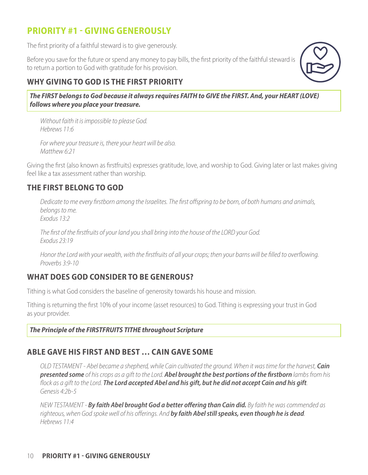### **PRIORITY #1 - GIVING GENEROUSLY**

The first priority of a faithful steward is to give generously.

Before you save for the future or spend any money to pay bills, the first priority of the faithful steward is to return a portion to God with gratitude for his provision.

### **WHY GIVING TO GOD IS THE FIRST PRIORITY**

*The FIRST belongs to God because it always requires FAITH to GIVE the FIRST. And, your HEART (LOVE) follows where you place your treasure.*

*Without faith it is impossible to please God. Hebrews 11:6*

*For where your treasure is, there your heart will be also. Matthew 6:21*

Giving the first (also known as firstfruits) expresses gratitude, love, and worship to God. Giving later or last makes giving feel like a tax assessment rather than worship.

#### **THE FIRST BELONG TO GOD**

*Dedicate to me every firstborn among the Israelites. The first offspring to be born, of both humans and animals, belongs to me. Exodus 13:2*

*The first of the firstfruits of your land you shall bring into the house of the LORD your God. Exodus 23:19*

*Honor the Lord with your wealth, with the firstfruits of all your crops; then your barns will be filled to overflowing. Proverbs 3:9-10*

#### **WHAT DOES GOD CONSIDER TO BE GENEROUS?**

Tithing is what God considers the baseline of generosity towards his house and mission.

Tithing is returning the first 10% of your income (asset resources) to God. Tithing is expressing your trust in God as your provider.

#### *The Principle of the FIRSTFRUITS TITHE throughout Scripture*

#### **ABLE GAVE HIS FIRST AND BEST … CAIN GAVE SOME**

*OLD TESTAMENT - Abel became a shepherd, while Cain cultivated the ground. When it was time for the harvest, Cain presented some of his crops as a gift to the Lord. Abel brought the best portions of the firstborn lambs from his flock as a gift to the Lord. The Lord accepted Abel and his gift, but he did not accept Cain and his gift. Genesis 4:2b-5*

*NEW TESTAMENT - By faith Abel brought God a better offering than Cain did. By faith he was commended as righteous, when God spoke well of his offerings. And by faith Abel still speaks, even though he is dead. Hebrews 11:4*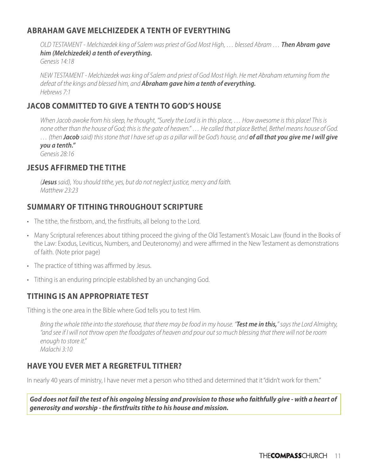#### **ABRAHAM GAVE MELCHIZEDEK A TENTH OF EVERYTHING**

*OLD TESTAMENT - Melchizedek king of Salem was priest of God Most High, … blessed Abram … Then Abram gave him (Melchizedek) a tenth of everything. Genesis 14:18*

*NEW TESTAMENT - Melchizedek was king of Salem and priest of God Most High. He met Abraham returning from the defeat of the kings and blessed him, and Abraham gave him a tenth of everything. Hebrews 7:1*

#### **JACOB COMMITTED TO GIVE A TENTH TO GOD'S HOUSE**

When Jacob awoke from his sleep, he thought, "Surely the Lord is in this place, ... How awesome is this place! This is *none other than the house of God; this is the gate of heaven." … He called that place Bethel, Bethel means house of God. … (then Jacob said) this stone that I have set up as a pillar will be God's house, and of all that you give me I will give you a tenth." Genesis 28:16*

#### **JESUS AFFIRMED THE TITHE**

*(Jesus said), You should tithe, yes, but do not neglect justice, mercy and faith. Matthew 23:23*

#### **SUMMARY OF TITHING THROUGHOUT SCRIPTURE**

- The tithe, the firstborn, and, the firstfruits, all belong to the Lord.
- Many Scriptural references about tithing proceed the giving of the Old Testament's Mosaic Law (found in the Books of the Law: Exodus, Leviticus, Numbers, and Deuteronomy) and were affirmed in the New Testament as demonstrations of faith. (Note prior page)
- The practice of tithing was affirmed by Jesus.
- Tithing is an enduring principle established by an unchanging God.

#### **TITHING IS AN APPROPRIATE TEST**

Tithing is the one area in the Bible where God tells you to test Him.

*Bring the whole tithe into the storehouse, that there may be food in my house. "Test me in this," says the Lord Almighty, "and see if I will not throw open the floodgates of heaven and pour out so much blessing that there will not be room enough to store it." Malachi 3:10*

#### **HAVE YOU EVER MET A REGRETFUL TITHER?**

In nearly 40 years of ministry, I have never met a person who tithed and determined that it "didn't work for them."

*God does not fail the test of his ongoing blessing and provision to those who faithfully give - with a heart of generosity and worship - the firstfruits tithe to his house and mission.*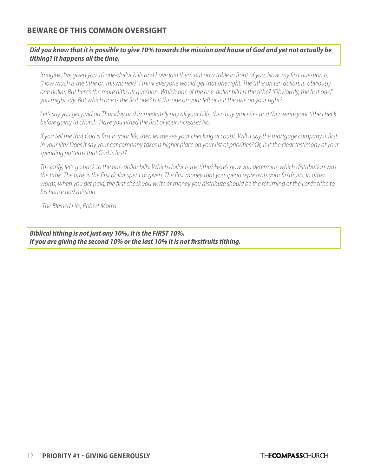#### **BEWARE OF THIS COMMON OVERSIGHT**

#### *Did you know that it is possible to give 10% towards the mission and house of God and yet not actually be tithing? It happens all the time.*

*Imagine, I've given you 10 one-dollar bills and have laid them out on a table in front of you, Now, my first question is, "How much is the tithe on this money?" I think everyone would get that one right. The tithe on ten dollars is, obviously one dollar. But here's the more difficult question. Which one of the one-dollar bills is the tithe? "Obviously, the first one," you might say. But which one is the first one? Is it the one on your left or is it the one on your right?*

*Let's say you get paid on Thursday and immediately pay all your bills, then buy groceries and then write your tithe check before going to church. Have you tithed the first of your increase? No.*

*If you tell me that God is first in your life, then let me see your checking account. Will it say the mortgage company is first in your life? Does it say your car company takes a higher place on your list of priorities? Or, is it the clear testimony of your spending patterns that God is first?*

*To clarify, let's go back to the one-dollar bills. Which dollar is the tithe? Here's how you determine which distribution was the tithe. The tithe is the first dollar spent or given. The first money that you spend represents your firstfruits. In other words, when you get paid, the first check you write or money you distribute should be the returning of the Lord's tithe to his house and mission.*

*-The Blessed Life, Robert Morris*

*Biblical tithing is not just any 10%, it is the FIRST 10%. If you are giving the second 10% or the last 10% it is not firstfruits tithing.*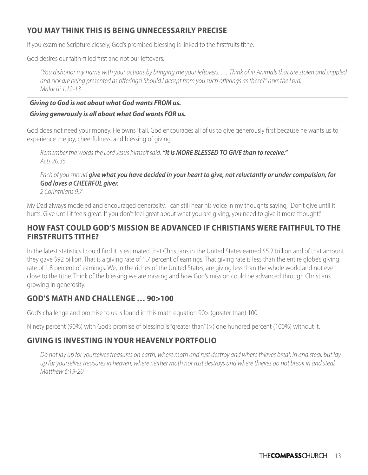#### **YOU MAY THINK THIS IS BEING UNNECESSARILY PRECISE**

If you examine Scripture closely, God's promised blessing is linked to the firstfruits tithe.

God desires our faith-filled first and not our leftovers.

*"You dishonor my name with your actions by bringing me your leftovers. … Think of it! Animals that are stolen and crippled and sick are being presented as offerings! Should I accept from you such offerings as these?" asks the Lord. Malachi 1:12-13*

#### *Giving to God is not about what God wants FROM us.*

#### *Giving generously is all about what God wants FOR us.*

God does not need your money. He owns it all. God encourages all of us to give generously first because he wants us to experience the joy, cheerfulness, and blessing of giving.

*Remember the words the Lord Jesus himself said: "It is MORE BLESSED TO GIVE than to receive." Acts 20:35*

#### *Each of you should give what you have decided in your heart to give, not reluctantly or under compulsion, for God loves a CHEERFUL giver.*

*2 Corinthians 9:7*

My Dad always modeled and encouraged generosity. I can still hear his voice in my thoughts saying, "Don't give until it hurts. Give until it feels great. If you don't feel great about what you are giving, you need to give it more thought."

#### **HOW FAST COULD GOD'S MISSION BE ADVANCED IF CHRISTIANS WERE FAITHFUL TO THE FIRSTFRUITS TITHE?**

In the latest statistics I could find it is estimated that Christians in the United States earned \$5.2 trillion and of that amount they gave \$92 billion. That is a giving rate of 1.7 percent of earnings. That giving rate is less than the entire globe's giving rate of 1.8 percent of earnings. We, in the riches of the United States, are giving less than the whole world and not even close to the tithe. Think of the blessing we are missing and how God's mission could be advanced through Christians growing in generosity.

#### **GOD'S MATH AND CHALLENGE … 90>100**

God's challenge and promise to us is found in this math equation 90> (greater than) 100.

Ninety percent (90%) with God's promise of blessing is "greater than" (>) one hundred percent (100%) without it.

#### **GIVING IS INVESTING IN YOUR HEAVENLY PORTFOLIO**

*Do not lay up for yourselves treasures on earth, where moth and rust destroy and where thieves break in and steal, but lay up for yourselves treasures in heaven, where neither moth nor rust destroys and where thieves do not break in and steal. Matthew 6:19-20*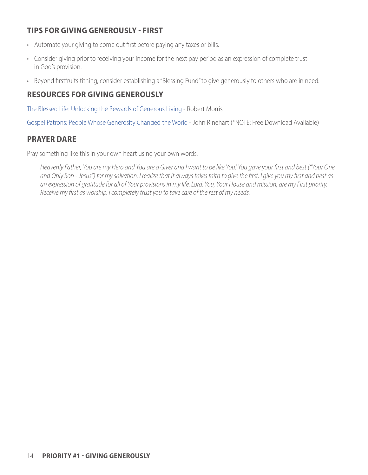#### **TIPS FOR GIVING GENEROUSLY - FIRST**

- Automate your giving to come out first before paying any taxes or bills.
- Consider giving prior to receiving your income for the next pay period as an expression of complete trust in God's provision.
- Beyond firstfruits tithing, consider establishing a "Blessing Fund" to give generously to others who are in need.

#### **RESOURCES FOR GIVING GENEROUSLY**

[The Blessed Life: Unlocking the Rewards of Generous Living](https://www.amazon.com/Blessed-Life-Unlocking-Rewards-Generous/dp/076421876X) - Robert Morris

[Gospel Patrons: People Whose Generosity Changed the World](https://www.gospelpatrons.org/books/gospel-patrons) - John Rinehart (\*NOTE: Free Download Available)

#### **PRAYER DARE**

Pray something like this in your own heart using your own words.

*Heavenly Father, You are my Hero and You are a Giver and I want to be like You! You gave your first and best ("Your One and Only Son - Jesus") for my salvation. I realize that it always takes faith to give the first. I give you my first and best as an expression of gratitude for all of Your provisions in my life. Lord, You, Your House and mission, are my First priority. Receive my first as worship. I completely trust you to take care of the rest of my needs.*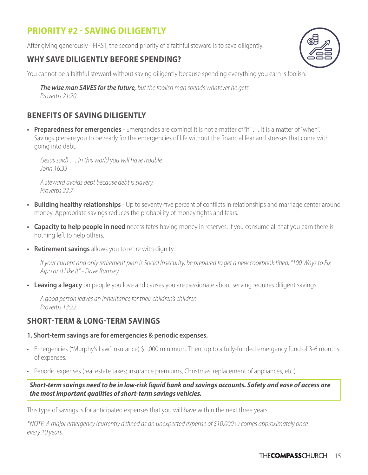## **PRIORITY #2 - SAVING DILIGENTLY**

After giving generously - FIRST, the second priority of a faithful steward is to save diligently.

#### **WHY SAVE DILIGENTLY BEFORE SPENDING?**

You cannot be a faithful steward without saving diligently because spending everything you earn is foolish.

*The wise man SAVES for the future, but the foolish man spends whatever he gets. Proverbs 21:20*

#### **BENEFITS OF SAVING DILIGENTLY**

**• Preparedness for emergencies** - Emergencies are coming! It is not a matter of "if" … it is a matter of "when". Savings prepare you to be ready for the emergencies of life without the financial fear and stresses that come with going into debt.

*(Jesus said) … In this world you will have trouble. John 16:33*

*A steward avoids debt because debt is slavery. Proverbs 22:7*

- **• Building healthy relationships** Up to seventy-five percent of conflicts in relationships and marriage center around money. Appropriate savings reduces the probability of money fights and fears.
- **• Capacity to help people in need** necessitates having money in reserves. If you consume all that you earn there is nothing left to help others.
- **• Retirement savings** allows you to retire with dignity.

*If your current and only retirement plan is Social Insecurity, be prepared to get a new cookbook titled, "100 Ways to Fix Alpo and Like It" - Dave Ramsey*

**• Leaving a legacy** on people you love and causes you are passionate about serving requires diligent savings.

*A good person leaves an inheritance for their children's children. Proverbs 13:22*

#### **SHORT-TERM & LONG-TERM SAVINGS**

#### **1. Short-term savings are for emergencies & periodic expenses.**

- Emergencies ("Murphy's Law" insurance) \$1,000 minimum. Then, up to a fully-funded emergency fund of 3-6 months of expenses.
- Periodic expenses (real estate taxes; insurance premiums, Christmas, replacement of appliances, etc.)

*Short-term savings need to be in low-risk liquid bank and savings accounts. Safety and ease of access are the most important qualities of short-term savings vehicles.*

This type of savings is for anticipated expenses that you will have within the next three years.

*\*NOTE: A major emergency (currently defined as an unexpected expense of \$10,000+) comes approximately once every 10 years.*

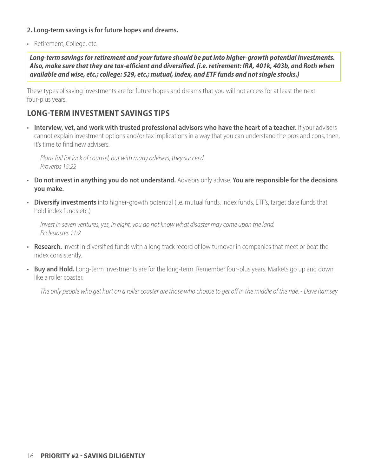#### **2. Long-term savings is for future hopes and dreams.**

• Retirement, College, etc.

*Long-term savings for retirement and your future should be put into higher-growth potential investments. Also, make sure that they are tax-efficient and diversified. (i.e. retirement: IRA, 401k, 403b, and Roth when available and wise, etc.; college: 529, etc.; mutual, index, and ETF funds and not single stocks.)*

These types of saving investments are for future hopes and dreams that you will not access for at least the next four-plus years.

#### **LONG-TERM INVESTMENT SAVINGS TIPS**

• **Interview, vet, and work with trusted professional advisors who have the heart of a teacher.** If your advisers cannot explain investment options and/or tax implications in a way that you can understand the pros and cons, then, it's time to find new advisers.

*Plans fail for lack of counsel, but with many advisers, they succeed. Proverbs 15:22*

- **Do not invest in anything you do not understand.** Advisors only advise. **You are responsible for the decisions you make.**
- **Diversify investments** into higher-growth potential (i.e. mutual funds, index funds, ETF's, target date funds that hold index funds etc.)

*Invest in seven ventures, yes, in eight; you do not know what disaster may come upon the land. Ecclesiastes 11:2*

- **Research.** Invest in diversified funds with a long track record of low turnover in companies that meet or beat the index consistently.
- **Buy and Hold.** Long-term investments are for the long-term. Remember four-plus years. Markets go up and down like a roller coaster.

*The only people who get hurt on a roller coaster are those who choose to get off in the middle of the ride. - Dave Ramsey*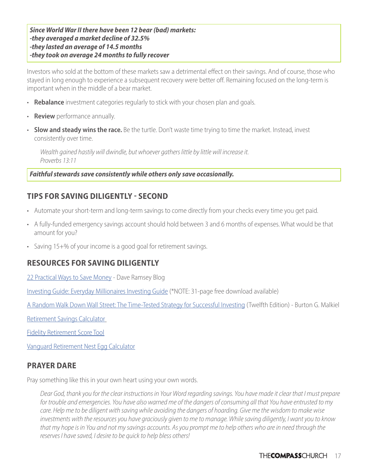*Since World War II there have been 12 bear (bad) markets: -they averaged a market decline of 32.5% -they lasted an average of 14.5 months -they took on average 24 months to fully recover*

Investors who sold at the bottom of these markets saw a detrimental effect on their savings. And of course, those who stayed in long enough to experience a subsequent recovery were better off. Remaining focused on the long-term is important when in the middle of a bear market.

- **Rebalance** investment categories regularly to stick with your chosen plan and goals.
- **Review** performance annually.
- **Slow and steady wins the race.** Be the turtle. Don't waste time trying to time the market. Instead, invest consistently over time.

*Wealth gained hastily will dwindle, but whoever gathers little by little will increase it. Proverbs 13:11*

*Faithful stewards save consistently while others only save occasionally.*

#### **TIPS FOR SAVING DILIGENTLY - SECOND**

- Automate your short-term and long-term savings to come directly from your checks every time you get paid.
- A fully-funded emergency savings account should hold between 3 and 6 months of expenses. What would be that amount for you?
- Saving 15+% of your income is a good goal for retirement savings.

#### **RESOURCES FOR SAVING DILIGENTLY**

[22 Practical Ways to Save Money](https://www.daveramsey.com/blog/the-secret-to-saving-money) - Dave Ramsey Blog

[Investing Guide: Everyday Millionaires Investing Guide](https://www.chrishogan360.com/investing-guide) (\*NOTE: 31-page free download available)

[A Random Walk Down Wall Street: The Time-Tested Strategy for Successful Investing](https://www.amazon.com/Random-Walk-Down-Wall-Street/dp/0393358380/ref=asc_df_0393358380/?tag=hyprod-20&linkCode=df0&hvadid=459680637280&hvpos=&hvnetw=g&hvrand=4411887698636514036&hvpone=&hvptwo=&hvqmt=&hvdev=c&hvdvcmdl=&hvlocint=&hvlocphy=1016866&hvtargid=pla-864572942049&psc=1) (Twelfth Edition) - Burton G. Malkiel

[Retirement Savings Calculator](https://www.thecompass.net/budgetingresources)

[Fidelity Retirement Score Tool](https://www.fidelity.com/calculators-tools/fidelity-retirement-score-tool)

[Vanguard Retirement Nest Egg Calculator](https://retirementplans.vanguard.com/VGApp/pe/pubeducation/calculators/RetirementNestEggCalc.jsf)

#### **PRAYER DARE**

Pray something like this in your own heart using your own words.

*Dear God, thank you for the clear instructions in Your Word regarding savings. You have made it clear that I must prepare*  for trouble and emergencies. You have also warned me of the dangers of consuming all that You have entrusted to my *care. Help me to be diligent with saving while avoiding the dangers of hoarding. Give me the wisdom to make wise investments with the resources you have graciously given to me to manage. While saving diligently, I want you to know that my hope is in You and not my savings accounts. As you prompt me to help others who are in need through the reserves I have saved, I desire to be quick to help bless others!*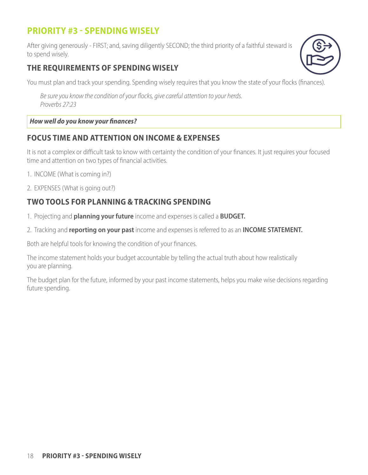## **PRIORITY #3 - SPENDING WISELY**

After giving generously - FIRST; and, saving diligently SECOND; the third priority of a faithful steward is to spend wisely.

#### **THE REQUIREMENTS OF SPENDING WISELY**

You must plan and track your spending. Spending wisely requires that you know the state of your flocks (finances).

*Be sure you know the condition of your flocks, give careful attention to your herds. Proverbs 27:23*

#### *How well do you know your finances?*

#### **FOCUS TIME AND ATTENTION ON INCOME & EXPENSES**

It is not a complex or difficult task to know with certainty the condition of your finances. It just requires your focused time and attention on two types of financial activities.

- 1. INCOME (What is coming in?)
- 2. EXPENSES (What is going out?)

### **TWO TOOLS FOR PLANNING & TRACKING SPENDING**

- 1. Projecting and **planning your future** income and expenses is called a **BUDGET.**
- 2. Tracking and **reporting on your past** income and expenses is referred to as an **INCOME STATEMENT.**

Both are helpful tools for knowing the condition of your finances.

The income statement holds your budget accountable by telling the actual truth about how realistically you are planning.

The budget plan for the future, informed by your past income statements, helps you make wise decisions regarding future spending.

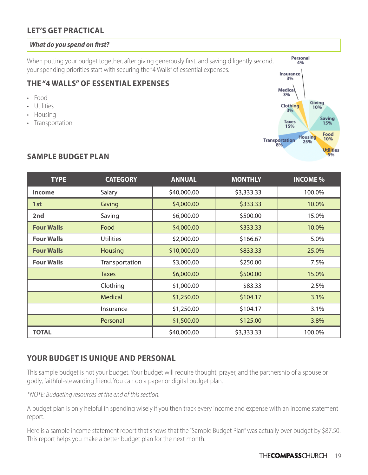#### **LET'S GET PRACTICAL**

#### *What do you spend on first?*

When putting your budget together, after giving generously first, and saving diligently second, your spending priorities start with securing the "4 Walls" of essential expenses.

#### **THE "4 WALLS" OF ESSENTIAL EXPENSES**

- Food
- Utilities
- Housing
- Transportation



#### **SAMPLE BUDGET PLAN**

| <b>TYPE</b>       | <b>CATEGORY</b>  | <b>ANNUAL</b> | <b>MONTHLY</b> | <b>INCOME %</b> |
|-------------------|------------------|---------------|----------------|-----------------|
| <b>Income</b>     | Salary           | \$40,000.00   | \$3,333.33     | 100.0%          |
| 1st               | Giving           | \$4,000.00    | \$333.33       | 10.0%           |
| 2nd               | Saving           | \$6,000.00    | \$500.00       | 15.0%           |
| <b>Four Walls</b> | Food             | \$4,000.00    | \$333.33       | 10.0%           |
| <b>Four Walls</b> | <b>Utilities</b> | \$2,000.00    | \$166.67       | 5.0%            |
| <b>Four Walls</b> | <b>Housing</b>   | \$10,000.00   | \$833.33       | 25.0%           |
| <b>Four Walls</b> | Transportation   | \$3,000.00    | \$250.00       | 7.5%            |
|                   | <b>Taxes</b>     | \$6,000.00    | \$500.00       | 15.0%           |
|                   | Clothing         | \$1,000.00    | \$83.33        | 2.5%            |
|                   | <b>Medical</b>   | \$1,250.00    | \$104.17       | 3.1%            |
|                   | Insurance        | \$1,250.00    | \$104.17       | 3.1%            |
|                   | Personal         | \$1,500.00    | \$125.00       | 3.8%            |
| <b>TOTAL</b>      |                  | \$40,000.00   | \$3,333.33     | 100.0%          |

#### **YOUR BUDGET IS UNIQUE AND PERSONAL**

This sample budget is not your budget. Your budget will require thought, prayer, and the partnership of a spouse or godly, faithful-stewarding friend. You can do a paper or digital budget plan.

*\*NOTE: Budgeting resources at the end of this section.*

A budget plan is only helpful in spending wisely if you then track every income and expense with an income statement report.

Here is a sample income statement report that shows that the "Sample Budget Plan" was actually over budget by \$87.50. This report helps you make a better budget plan for the next month.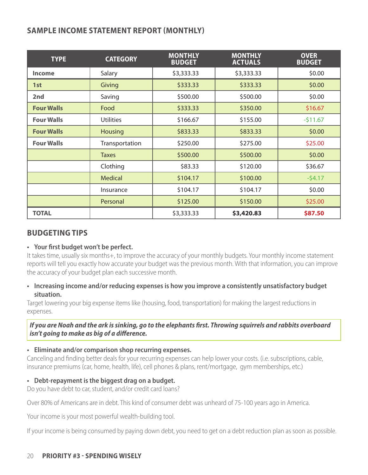#### **SAMPLE INCOME STATEMENT REPORT (MONTHLY)**

| <b>TYPE</b>       | <b>CATEGORY</b>  | <b>MONTHLY</b><br><b>BUDGET</b> | <b>MONTHLY</b><br><b>ACTUALS</b> | <b>OVER</b><br><b>BUDGET</b> |
|-------------------|------------------|---------------------------------|----------------------------------|------------------------------|
| <b>Income</b>     | Salary           | \$3,333.33                      | \$3,333.33                       | \$0.00                       |
| 1st               | Giving           | \$333.33                        | \$333.33                         | \$0.00                       |
| 2nd               | Saving           | \$500.00                        | \$500.00                         | \$0.00                       |
| <b>Four Walls</b> | Food             | \$333.33                        | \$350.00                         | \$16.67                      |
| <b>Four Walls</b> | <b>Utilities</b> | \$166.67                        | \$155.00                         | $-511.67$                    |
| <b>Four Walls</b> | <b>Housing</b>   | \$833.33                        | \$833.33                         | \$0.00                       |
| <b>Four Walls</b> | Transportation   | \$250.00                        | \$275.00                         | \$25.00                      |
|                   | <b>Taxes</b>     | \$500.00                        | \$500.00                         | \$0.00                       |
|                   | Clothing         | \$83.33                         | \$120.00                         | \$36.67                      |
|                   | <b>Medical</b>   | \$104.17                        | \$100.00                         | $-54.17$                     |
|                   | Insurance        | \$104.17                        | \$104.17                         | \$0.00                       |
|                   | Personal         | \$125.00                        | \$150.00                         | \$25.00                      |
| <b>TOTAL</b>      |                  | \$3,333.33                      | \$3,420.83                       | \$87.50                      |

#### **BUDGETING TIPS**

#### **• Your first budget won't be perfect.**

It takes time, usually six months+, to improve the accuracy of your monthly budgets. Your monthly income statement reports will tell you exactly how accurate your budget was the previous month. With that information, you can improve the accuracy of your budget plan each successive month.

#### **• Increasing income and/or reducing expenses is how you improve a consistently unsatisfactory budget situation.**

Target lowering your big expense items like (housing, food, transportation) for making the largest reductions in expenses.

#### *If you are Noah and the ark is sinking, go to the elephants first. Throwing squirrels and rabbits overboard isn't going to make as big of a difference.*

#### **• Eliminate and/or comparison shop recurring expenses.**

Canceling and finding better deals for your recurring expenses can help lower your costs. (i.e. subscriptions, cable, insurance premiums (car, home, health, life), cell phones & plans, rent/mortgage, gym memberships, etc.)

#### **• Debt-repayment is the biggest drag on a budget.**

Do you have debt to car, student, and/or credit card loans?

Over 80% of Americans are in debt. This kind of consumer debt was unheard of 75-100 years ago in America.

Your income is your most powerful wealth-building tool.

If your income is being consumed by paying down debt, you need to get on a debt reduction plan as soon as possible.

#### 20 **PRIORITY #3 - SPENDING WISELY**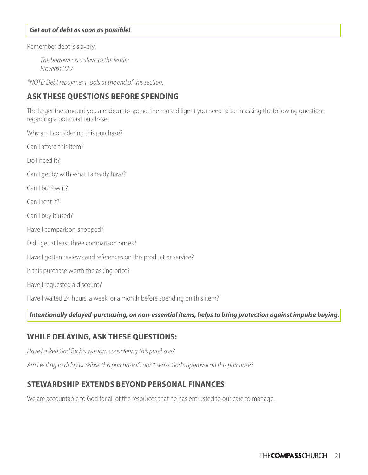#### *Get out of debt as soon as possible!*

Remember debt is slavery.

*The borrower is a slave to the lender. Proverbs 22:7*

*\*NOTE: Debt repayment tools at the end of this section.*

#### **ASK THESE QUESTIONS BEFORE SPENDING**

The larger the amount you are about to spend, the more diligent you need to be in asking the following questions regarding a potential purchase.

Why am I considering this purchase? Can I afford this item? Do I need it? Can I get by with what I already have? Can I borrow it? Can I rent it? Can I buy it used? Have I comparison-shopped? Did I get at least three comparison prices? Have I gotten reviews and references on this product or service? Is this purchase worth the asking price? Have I requested a discount? Have I waited 24 hours, a week, or a month before spending on this item?

*Intentionally delayed-purchasing, on non-essential items, helps to bring protection against impulse buying.* 

#### **WHILE DELAYING, ASK THESE QUESTIONS:**

*Have I asked God for his wisdom considering this purchase?*

*Am I willing to delay or refuse this purchase if I don't sense God's approval on this purchase?* 

#### **STEWARDSHIP EXTENDS BEYOND PERSONAL FINANCES**

We are accountable to God for all of the resources that he has entrusted to our care to manage.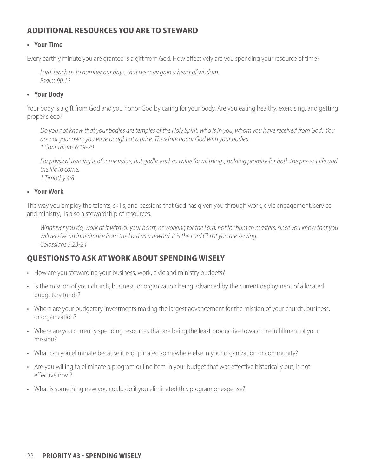#### **ADDITIONAL RESOURCES YOU ARE TO STEWARD**

#### **• Your Time**

Every earthly minute you are granted is a gift from God. How effectively are you spending your resource of time?

*Lord, teach us to number our days, that we may gain a heart of wisdom. Psalm 90:12*

#### **• Your Body**

Your body is a gift from God and you honor God by caring for your body. Are you eating healthy, exercising, and getting proper sleep?

*Do you not know that your bodies are temples of the Holy Spirit, who is in you, whom you have received from God? You are not your own; you were bought at a price. Therefore honor God with your bodies. 1 Corinthians 6:19-20*

*For physical training is of some value, but godliness has value for all things, holding promise for both the present life and the life to come. 1 Timothy 4:8*

#### **• Your Work**

The way you employ the talents, skills, and passions that God has given you through work, civic engagement, service, and ministry; is also a stewardship of resources.

*Whatever you do, work at it with all your heart, as working for the Lord, not for human masters, since you know that you will receive an inheritance from the Lord as a reward. It is the Lord Christ you are serving. Colossians 3:23-24*

#### **QUESTIONS TO ASK AT WORK ABOUT SPENDING WISELY**

- How are you stewarding your business, work, civic and ministry budgets?
- Is the mission of your church, business, or organization being advanced by the current deployment of allocated budgetary funds?
- Where are your budgetary investments making the largest advancement for the mission of your church, business, or organization?
- Where are you currently spending resources that are being the least productive toward the fulfillment of your mission?
- What can you eliminate because it is duplicated somewhere else in your organization or community?
- Are you willing to eliminate a program or line item in your budget that was effective historically but, is not effective now?
- What is something new you could do if you eliminated this program or expense?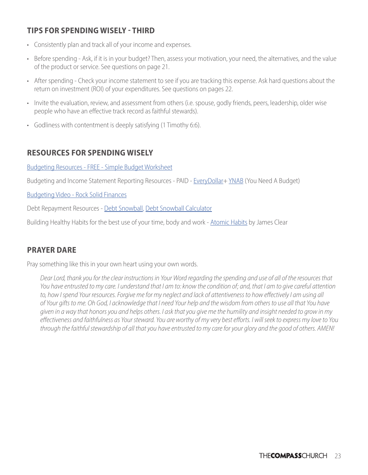#### **TIPS FOR SPENDING WISELY - THIRD**

- Consistently plan and track all of your income and expenses.
- Before spending Ask, if it is in your budget? Then, assess your motivation, your need, the alternatives, and the value of the product or service. See questions on page 21.
- After spending Check your income statement to see if you are tracking this expense. Ask hard questions about the return on investment (ROI) of your expenditures. See questions on pages 22.
- Invite the evaluation, review, and assessment from others (i.e. spouse, godly friends, peers, leadership, older wise people who have an effective track record as faithful stewards).
- Godliness with contentment is deeply satisfying (1 Timothy 6:6).

#### **RESOURCES FOR SPENDING WISELY**

[Budgeting Resources - FREE - Simple Budget Worksheet](https://www.thecompass.net/page/932)

Budgeting and Income Statement Reporting Resources - PAID - [EveryDollar+](https://www.everydollar.com/ramsey-plus) [YNAB](https://www.youneedabudget.com) (You Need A Budget)

[Budgeting Video - Rock Solid Finances](https://ccv.church/rock-solid-finances)

Debt Repayment Resources - [Debt Snowbal](https://www.daveramsey.com/blog/how-the-debt-snowball-method-works)l, [Debt Snowball Calculator](https://www.daveramsey.com/fpu/debt-calculator)

Building Healthy Habits for the best use of your time, body and work - [Atomic Habits](https://www.amazon.com/Atomic-Habits-Proven-Build-Break/dp/0735211299) by James Clear

#### **PRAYER DARE**

Pray something like this in your own heart using your own words.

*Dear Lord, thank you for the clear instructions in Your Word regarding the spending and use of all of the resources that You have entrusted to my care. I understand that I am to: know the condition of; and, that I am to give careful attention*  to, how I spend Your resources. Forgive me for my neglect and lack of attentiveness to how effectively I am using all *of Your gifts to me. Oh God, I acknowledge that I need Your help and the wisdom from others to use all that You have given in a way that honors you and helps others. I ask that you give me the humility and insight needed to grow in my effectiveness and faithfulness as Your steward. You are worthy of my very best efforts. I will seek to express my love to You through the faithful stewardship of all that you have entrusted to my care for your glory and the good of others. AMEN!*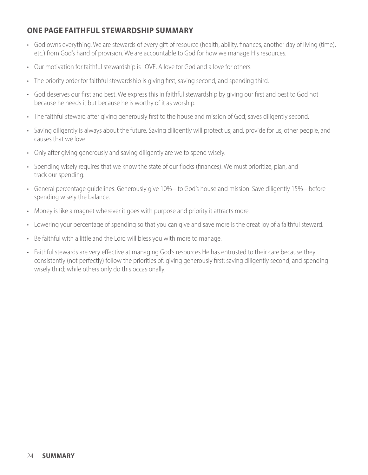#### **ONE PAGE FAITHFUL STEWARDSHIP SUMMARY**

- God owns everything. We are stewards of every gift of resource (health, ability, finances, another day of living (time), etc.) from God's hand of provision. We are accountable to God for how we manage His resources.
- Our motivation for faithful stewardship is LOVE. A love for God and a love for others.
- The priority order for faithful stewardship is giving first, saving second, and spending third.
- God deserves our first and best. We express this in faithful stewardship by giving our first and best to God not because he needs it but because he is worthy of it as worship.
- The faithful steward after giving generously first to the house and mission of God; saves diligently second.
- Saving diligently is always about the future. Saving diligently will protect us; and, provide for us, other people, and causes that we love.
- Only after giving generously and saving diligently are we to spend wisely.
- Spending wisely requires that we know the state of our flocks (finances). We must prioritize, plan, and track our spending.
- General percentage guidelines: Generously give 10%+ to God's house and mission. Save diligently 15%+ before spending wisely the balance.
- Money is like a magnet wherever it goes with purpose and priority it attracts more.
- Lowering your percentage of spending so that you can give and save more is the great joy of a faithful steward.
- Be faithful with a little and the Lord will bless you with more to manage.
- Faithful stewards are very effective at managing God's resources He has entrusted to their care because they consistently (not perfectly) follow the priorities of: giving generously first; saving diligently second; and spending wisely third; while others only do this occasionally.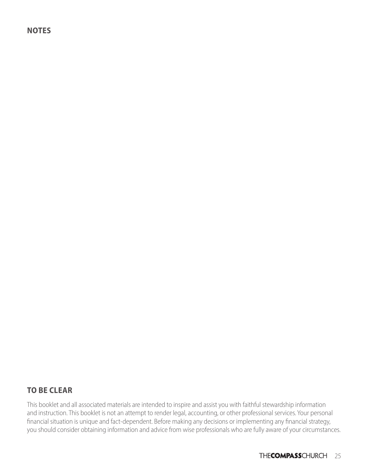**NOTES**

#### **TO BE CLEAR**

This booklet and all associated materials are intended to inspire and assist you with faithful stewardship information and instruction. This booklet is not an attempt to render legal, accounting, or other professional services. Your personal financial situation is unique and fact-dependent. Before making any decisions or implementing any financial strategy, you should consider obtaining information and advice from wise professionals who are fully aware of your circumstances.